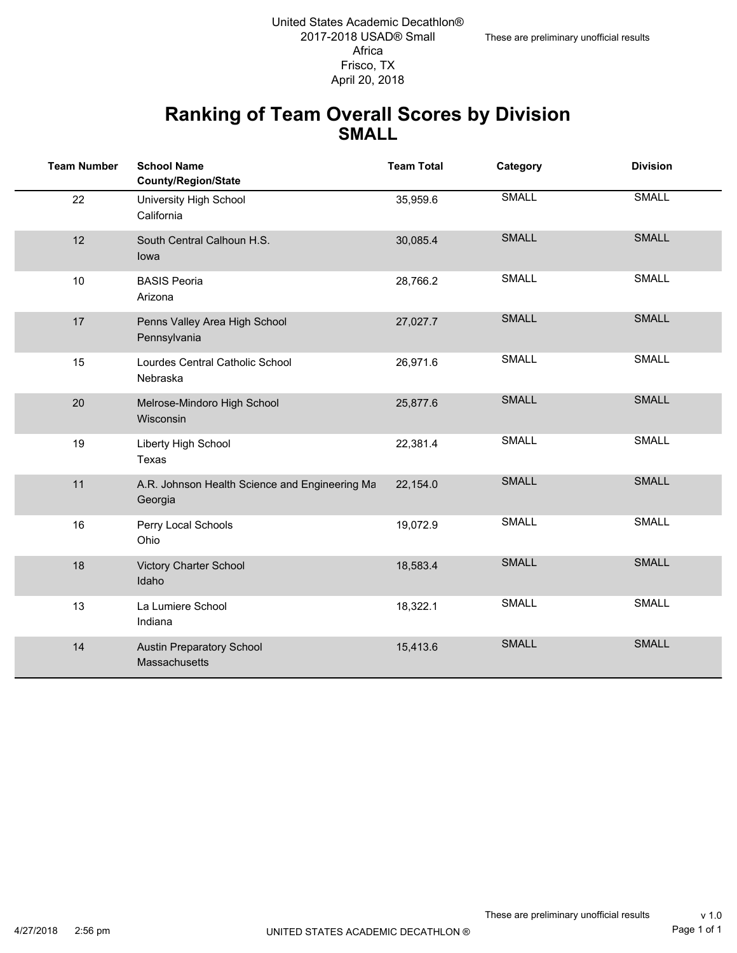#### **Ranking of Team Overall Scores by Division SMALL**

| <b>Team Number</b> | <b>School Name</b><br><b>County/Region/State</b>          | <b>Team Total</b> | Category     | <b>Division</b> |
|--------------------|-----------------------------------------------------------|-------------------|--------------|-----------------|
| 22                 | University High School<br>California                      | 35,959.6          | <b>SMALL</b> | <b>SMALL</b>    |
| 12                 | South Central Calhoun H.S.<br>lowa                        | 30,085.4          | <b>SMALL</b> | <b>SMALL</b>    |
| 10                 | <b>BASIS Peoria</b><br>Arizona                            | 28,766.2          | <b>SMALL</b> | <b>SMALL</b>    |
| 17                 | Penns Valley Area High School<br>Pennsylvania             | 27,027.7          | <b>SMALL</b> | <b>SMALL</b>    |
| 15                 | Lourdes Central Catholic School<br>Nebraska               | 26,971.6          | <b>SMALL</b> | SMALL           |
| 20                 | Melrose-Mindoro High School<br>Wisconsin                  | 25,877.6          | <b>SMALL</b> | <b>SMALL</b>    |
| 19                 | Liberty High School<br>Texas                              | 22,381.4          | <b>SMALL</b> | SMALL           |
| 11                 | A.R. Johnson Health Science and Engineering Ma<br>Georgia | 22,154.0          | <b>SMALL</b> | <b>SMALL</b>    |
| 16                 | Perry Local Schools<br>Ohio                               | 19,072.9          | SMALL        | <b>SMALL</b>    |
| 18                 | Victory Charter School<br>Idaho                           | 18,583.4          | <b>SMALL</b> | <b>SMALL</b>    |
| 13                 | La Lumiere School<br>Indiana                              | 18,322.1          | SMALL        | <b>SMALL</b>    |
| 14                 | <b>Austin Preparatory School</b><br>Massachusetts         | 15,413.6          | <b>SMALL</b> | <b>SMALL</b>    |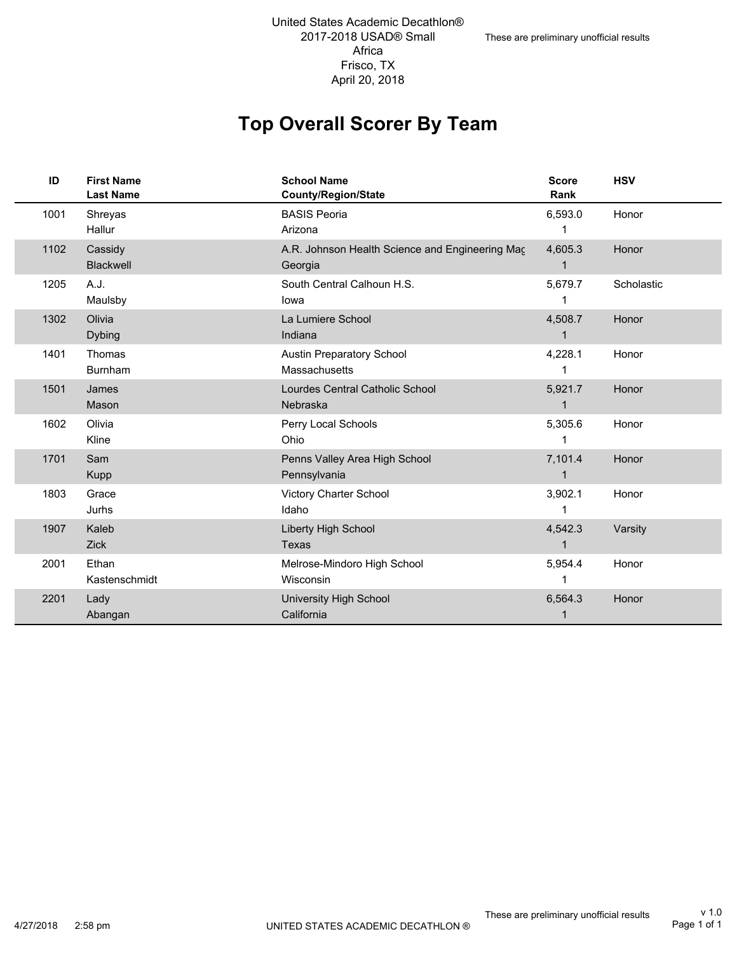## **Top Overall Scorer By Team**

| ID   | <b>First Name</b><br><b>Last Name</b> | <b>School Name</b><br>County/Region/State                  | <b>Score</b><br>Rank    | <b>HSV</b> |
|------|---------------------------------------|------------------------------------------------------------|-------------------------|------------|
| 1001 | Shreyas<br>Hallur                     | <b>BASIS Peoria</b><br>Arizona                             | 6,593.0                 | Honor      |
| 1102 | Cassidy<br>Blackwell                  | A.R. Johnson Health Science and Engineering Mac<br>Georgia | 4,605.3<br>$\mathbf{1}$ | Honor      |
| 1205 | A.J.<br>Maulsby                       | South Central Calhoun H.S.<br>lowa                         | 5,679.7                 | Scholastic |
| 1302 | Olivia<br><b>Dybing</b>               | La Lumiere School<br>Indiana                               | 4,508.7                 | Honor      |
| 1401 | Thomas<br><b>Burnham</b>              | <b>Austin Preparatory School</b><br>Massachusetts          | 4,228.1                 | Honor      |
| 1501 | James<br>Mason                        | Lourdes Central Catholic School<br>Nebraska                | 5,921.7                 | Honor      |
| 1602 | Olivia<br>Kline                       | Perry Local Schools<br>Ohio                                | 5,305.6                 | Honor      |
| 1701 | Sam<br>Kupp                           | Penns Valley Area High School<br>Pennsylvania              | 7,101.4<br>$\mathbf 1$  | Honor      |
| 1803 | Grace<br>Jurhs                        | <b>Victory Charter School</b><br>Idaho                     | 3,902.1                 | Honor      |
| 1907 | Kaleb<br>Zick                         | Liberty High School<br>Texas                               | 4,542.3<br>$\mathbf{1}$ | Varsity    |
| 2001 | Ethan<br>Kastenschmidt                | Melrose-Mindoro High School<br>Wisconsin                   | 5,954.4                 | Honor      |
| 2201 | Lady<br>Abangan                       | <b>University High School</b><br>California                | 6,564.3                 | Honor      |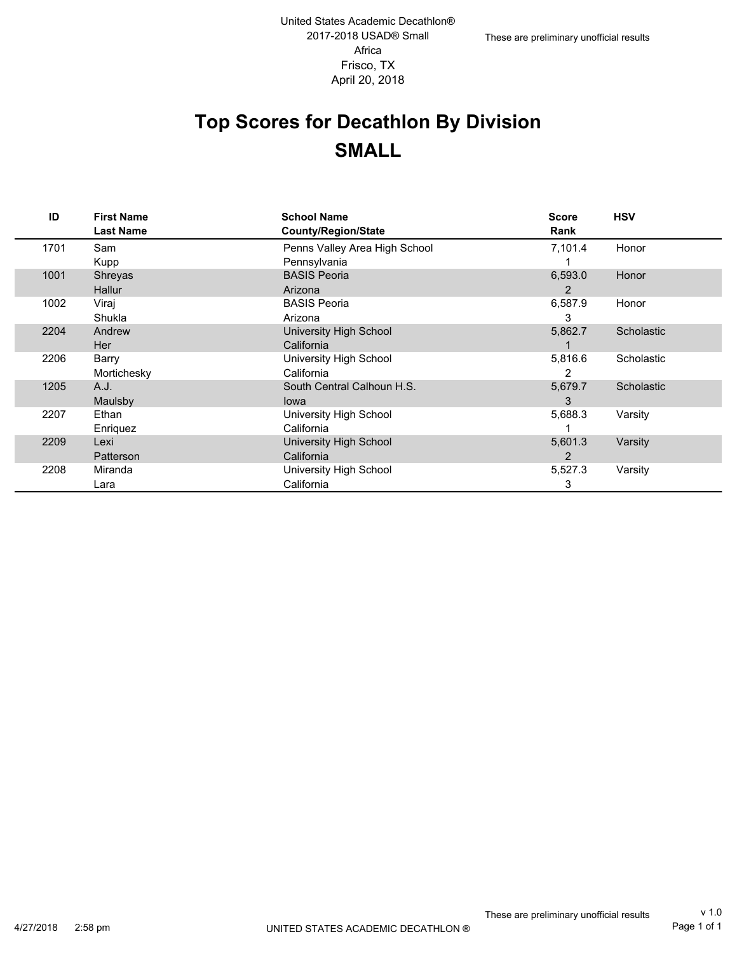# **Top Scores for Decathlon By Division SMALL**

| ID   | <b>First Name</b> | <b>School Name</b>            | <b>Score</b> | <b>HSV</b> |
|------|-------------------|-------------------------------|--------------|------------|
|      | <b>Last Name</b>  | <b>County/Region/State</b>    | Rank         |            |
| 1701 | Sam               | Penns Valley Area High School | 7,101.4      | Honor      |
|      | Kupp              | Pennsylvania                  |              |            |
| 1001 | Shreyas           | <b>BASIS Peoria</b>           | 6,593.0      | Honor      |
|      | Hallur            | Arizona                       | 2            |            |
| 1002 | Viraj             | <b>BASIS Peoria</b>           | 6,587.9      | Honor      |
|      | Shukla            | Arizona                       | 3            |            |
| 2204 | Andrew            | <b>University High School</b> | 5,862.7      | Scholastic |
|      | <b>Her</b>        | California                    |              |            |
| 2206 | Barry             | University High School        | 5,816.6      | Scholastic |
|      | Mortichesky       | California                    | 2            |            |
| 1205 | A.J.              | South Central Calhoun H.S.    | 5,679.7      | Scholastic |
|      | Maulsby           | lowa                          | 3            |            |
| 2207 | Ethan             | University High School        | 5,688.3      | Varsity    |
|      | Enriquez          | California                    |              |            |
| 2209 | Lexi              | <b>University High School</b> | 5,601.3      | Varsity    |
|      | Patterson         | California                    | 2            |            |
| 2208 | Miranda           | University High School        | 5,527.3      | Varsity    |
|      | Lara              | California                    | 3            |            |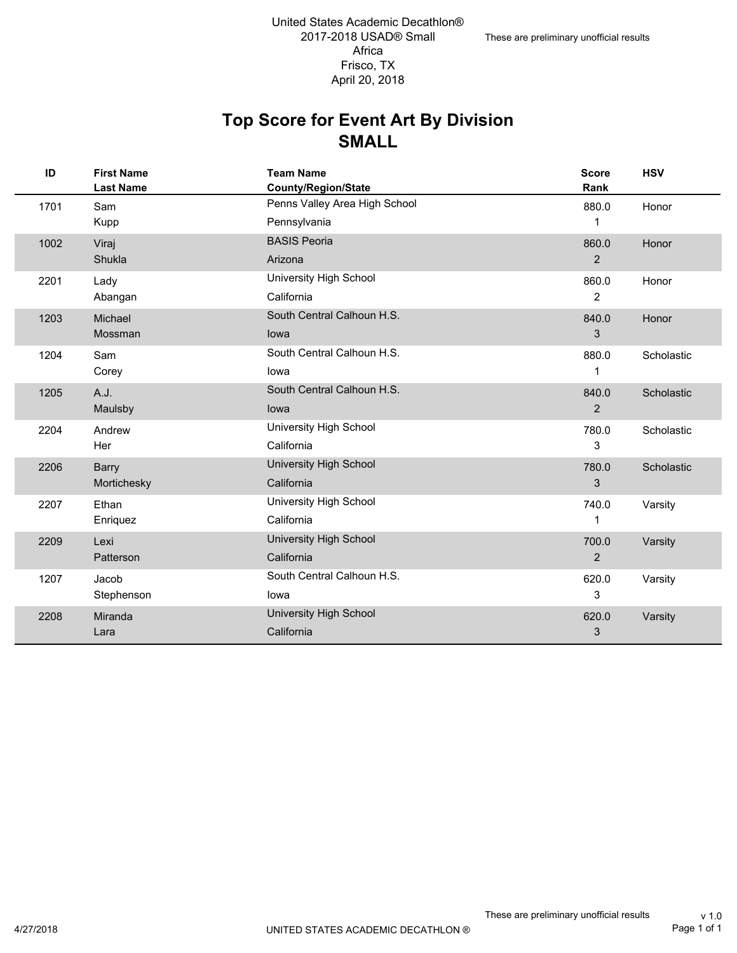#### **SMALL Top Score for Event Art By Division**

| ID   | <b>First Name</b><br><b>Last Name</b> | <b>Team Name</b><br><b>County/Region/State</b> | <b>Score</b><br>Rank | <b>HSV</b> |
|------|---------------------------------------|------------------------------------------------|----------------------|------------|
| 1701 | Sam                                   | Penns Valley Area High School                  | 880.0                | Honor      |
|      | Kupp                                  | Pennsylvania                                   | 1                    |            |
| 1002 | Viraj                                 | <b>BASIS Peoria</b>                            | 860.0                | Honor      |
|      | Shukla                                | Arizona                                        | 2                    |            |
| 2201 | Lady                                  | University High School                         | 860.0                | Honor      |
|      | Abangan                               | California                                     | $\overline{2}$       |            |
| 1203 | Michael                               | South Central Calhoun H.S.                     | 840.0                | Honor      |
|      | Mossman                               | lowa                                           | 3                    |            |
| 1204 | Sam                                   | South Central Calhoun H.S.                     | 880.0                | Scholastic |
|      | Corey                                 | lowa                                           | 1                    |            |
| 1205 | A.J.                                  | South Central Calhoun H.S.                     | 840.0                | Scholastic |
|      | Maulsby                               | lowa                                           | $\overline{2}$       |            |
| 2204 | Andrew                                | University High School                         | 780.0                | Scholastic |
|      | Her                                   | California                                     | 3                    |            |
| 2206 | Barry                                 | University High School                         | 780.0                | Scholastic |
|      | Mortichesky                           | California                                     | 3                    |            |
| 2207 | Ethan                                 | University High School                         | 740.0                | Varsity    |
|      | Enriquez                              | California                                     | 1                    |            |
| 2209 | Lexi                                  | University High School                         | 700.0                | Varsity    |
|      | Patterson                             | California                                     | $\overline{2}$       |            |
| 1207 | Jacob                                 | South Central Calhoun H.S.                     | 620.0                | Varsity    |
|      | Stephenson                            | lowa                                           | 3                    |            |
| 2208 | Miranda                               | University High School                         | 620.0                | Varsity    |
|      | Lara                                  | California                                     | 3                    |            |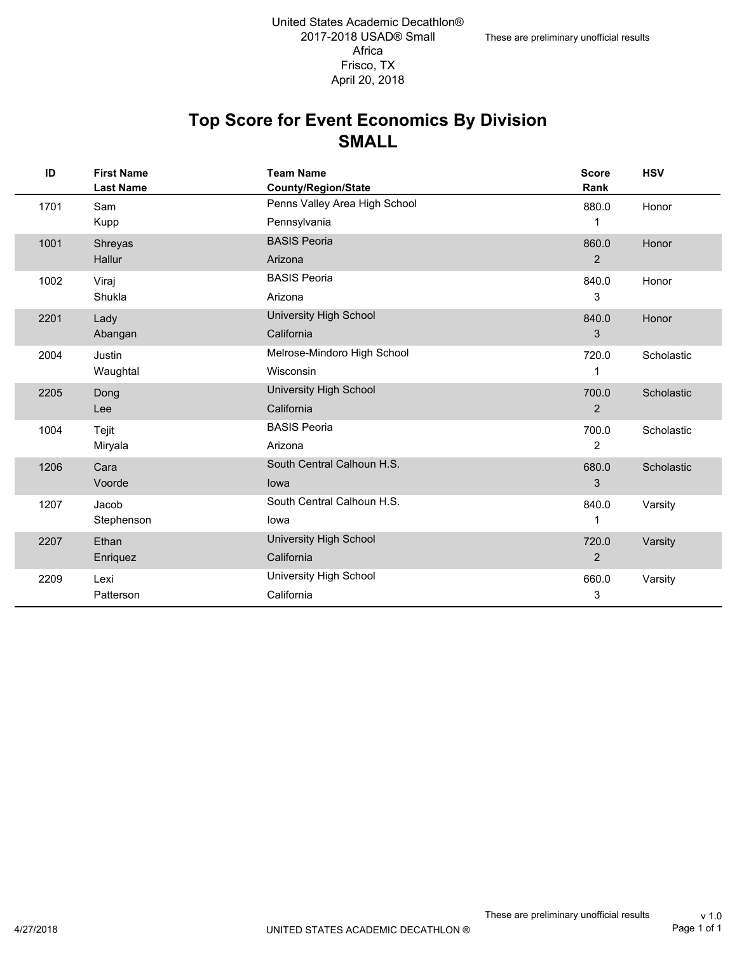#### **SMALL Top Score for Event Economics By Division**

| ID   | <b>First Name</b><br><b>Last Name</b> | <b>Team Name</b><br>County/Region/State | <b>Score</b><br>Rank | <b>HSV</b> |
|------|---------------------------------------|-----------------------------------------|----------------------|------------|
| 1701 | Sam                                   | Penns Valley Area High School           | 880.0                | Honor      |
|      | Kupp                                  | Pennsylvania                            | 1                    |            |
| 1001 | Shreyas                               | <b>BASIS Peoria</b>                     | 860.0                | Honor      |
|      | Hallur                                | Arizona                                 | $\overline{2}$       |            |
| 1002 | Viraj                                 | <b>BASIS Peoria</b>                     | 840.0                | Honor      |
|      | Shukla                                | Arizona                                 | 3                    |            |
| 2201 | Lady                                  | <b>University High School</b>           | 840.0                | Honor      |
|      | Abangan                               | California                              | 3                    |            |
| 2004 | Justin                                | Melrose-Mindoro High School             | 720.0                | Scholastic |
|      | Waughtal                              | Wisconsin                               | 1                    |            |
| 2205 | Dong                                  | <b>University High School</b>           | 700.0                | Scholastic |
|      | Lee                                   | California                              | 2                    |            |
| 1004 | Tejit                                 | <b>BASIS Peoria</b>                     | 700.0                | Scholastic |
|      | Miryala                               | Arizona                                 | $\overline{2}$       |            |
| 1206 | Cara                                  | South Central Calhoun H.S.              | 680.0                | Scholastic |
|      | Voorde                                | lowa                                    | 3                    |            |
| 1207 | Jacob                                 | South Central Calhoun H.S.              | 840.0                | Varsity    |
|      | Stephenson                            | lowa                                    | 1                    |            |
| 2207 | Ethan                                 | <b>University High School</b>           | 720.0                | Varsity    |
|      | Enriquez                              | California                              | $\overline{2}$       |            |
| 2209 | Lexi                                  | University High School                  | 660.0                | Varsity    |
|      | Patterson                             | California                              | 3                    |            |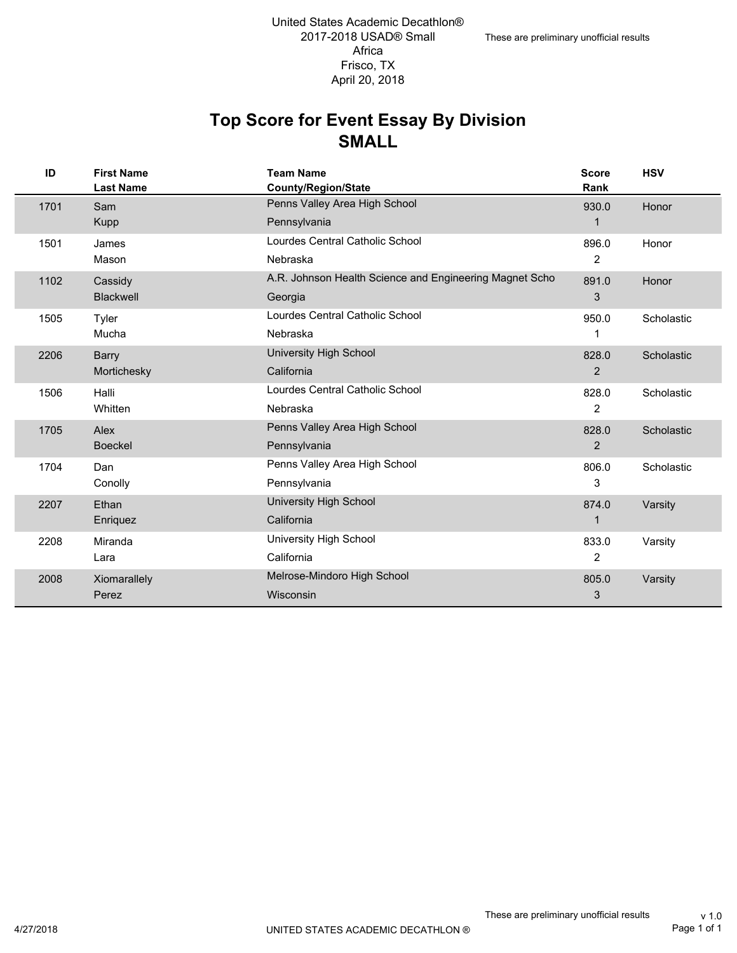#### **SMALL Top Score for Event Essay By Division**

| ID   | <b>First Name</b><br><b>Last Name</b> | <b>Team Name</b><br><b>County/Region/State</b>          | <b>Score</b><br>Rank | <b>HSV</b> |
|------|---------------------------------------|---------------------------------------------------------|----------------------|------------|
| 1701 | Sam                                   | Penns Valley Area High School                           | 930.0                | Honor      |
|      | <b>Kupp</b>                           | Pennsylvania                                            | $\mathbf{1}$         |            |
| 1501 | James                                 | Lourdes Central Catholic School                         | 896.0                | Honor      |
|      | Mason                                 | Nebraska                                                | 2                    |            |
| 1102 | Cassidy                               | A.R. Johnson Health Science and Engineering Magnet Scho | 891.0                | Honor      |
|      | <b>Blackwell</b>                      | Georgia                                                 | 3                    |            |
| 1505 | Tyler                                 | Lourdes Central Catholic School                         | 950.0                | Scholastic |
|      | Mucha                                 | Nebraska                                                | 1                    |            |
| 2206 | <b>Barry</b>                          | <b>University High School</b>                           | 828.0                | Scholastic |
|      | Mortichesky                           | California                                              | $\overline{2}$       |            |
| 1506 | Halli                                 | Lourdes Central Catholic School                         | 828.0                | Scholastic |
|      | Whitten                               | Nebraska                                                | $\overline{2}$       |            |
| 1705 | Alex                                  | Penns Valley Area High School                           | 828.0                | Scholastic |
|      | <b>Boeckel</b>                        | Pennsylvania                                            | $\overline{2}$       |            |
| 1704 | Dan                                   | Penns Valley Area High School                           | 806.0                | Scholastic |
|      | Conolly                               | Pennsylvania                                            | 3                    |            |
| 2207 | Ethan                                 | University High School                                  | 874.0                | Varsity    |
|      | Enriquez                              | California                                              | $\mathbf 1$          |            |
| 2208 | Miranda                               | University High School                                  | 833.0                | Varsity    |
|      | Lara                                  | California                                              | $\overline{2}$       |            |
| 2008 | Xiomarallely                          | Melrose-Mindoro High School                             | 805.0                | Varsity    |
|      | Perez                                 | Wisconsin                                               | 3                    |            |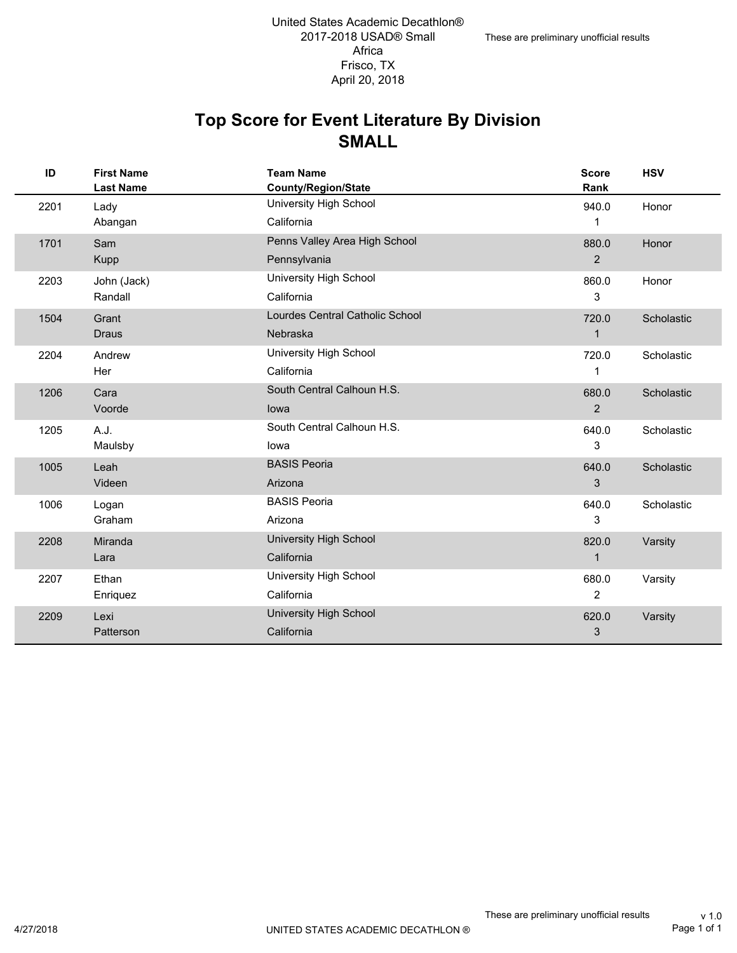#### **SMALL Top Score for Event Literature By Division**

| ID   | <b>First Name</b><br><b>Last Name</b> | <b>Team Name</b><br><b>County/Region/State</b> | <b>Score</b><br>Rank | <b>HSV</b> |
|------|---------------------------------------|------------------------------------------------|----------------------|------------|
| 2201 | Lady                                  | University High School                         | 940.0                | Honor      |
|      | Abangan                               | California                                     | $\mathbf{1}$         |            |
| 1701 | Sam                                   | Penns Valley Area High School                  | 880.0                | Honor      |
|      | <b>Kupp</b>                           | Pennsylvania                                   | 2                    |            |
| 2203 | John (Jack)                           | University High School                         | 860.0                | Honor      |
|      | Randall                               | California                                     | 3                    |            |
| 1504 | Grant                                 | Lourdes Central Catholic School                | 720.0                | Scholastic |
|      | <b>Draus</b>                          | Nebraska                                       | $\mathbf{1}$         |            |
| 2204 | Andrew                                | University High School                         | 720.0                | Scholastic |
|      | Her                                   | California                                     | 1                    |            |
| 1206 | Cara                                  | South Central Calhoun H.S.                     | 680.0                | Scholastic |
|      | Voorde                                | lowa                                           | 2                    |            |
| 1205 | A.J.                                  | South Central Calhoun H.S.                     | 640.0                | Scholastic |
|      | Maulsby                               | lowa                                           | 3                    |            |
| 1005 | Leah                                  | <b>BASIS Peoria</b>                            | 640.0                | Scholastic |
|      | Videen                                | Arizona                                        | 3                    |            |
| 1006 | Logan                                 | <b>BASIS Peoria</b>                            | 640.0                | Scholastic |
|      | Graham                                | Arizona                                        | 3                    |            |
| 2208 | Miranda                               | <b>University High School</b>                  | 820.0                | Varsity    |
|      | Lara                                  | California                                     | $\mathbf{1}$         |            |
| 2207 | Ethan                                 | University High School                         | 680.0                | Varsity    |
|      | Enriquez                              | California                                     | 2                    |            |
| 2209 | Lexi                                  | University High School                         | 620.0                | Varsity    |
|      | Patterson                             | California                                     | 3                    |            |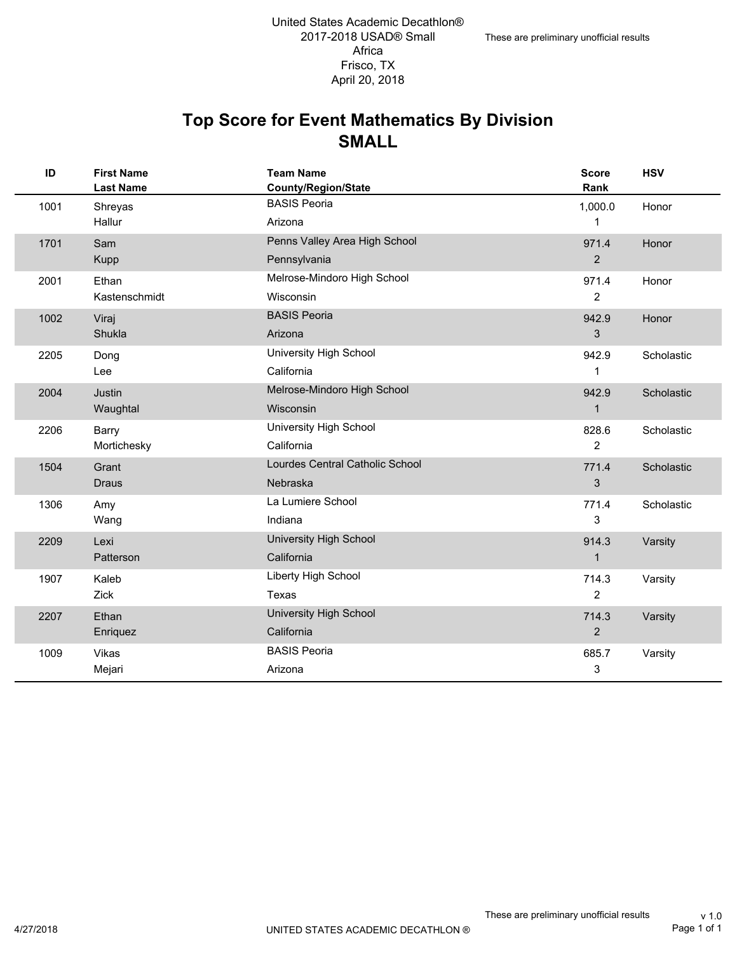#### **SMALL Top Score for Event Mathematics By Division**

| ID   | <b>First Name</b><br><b>Last Name</b> | <b>Team Name</b><br>County/Region/State | <b>Score</b><br>Rank | <b>HSV</b> |
|------|---------------------------------------|-----------------------------------------|----------------------|------------|
| 1001 | Shreyas                               | <b>BASIS Peoria</b>                     | 1,000.0              | Honor      |
|      | Hallur                                | Arizona                                 | 1                    |            |
| 1701 | Sam                                   | Penns Valley Area High School           | 971.4                | Honor      |
|      | Kupp                                  | Pennsylvania                            | 2                    |            |
| 2001 | Ethan                                 | Melrose-Mindoro High School             | 971.4                | Honor      |
|      | Kastenschmidt                         | Wisconsin                               | $\overline{2}$       |            |
| 1002 | Viraj                                 | <b>BASIS Peoria</b>                     | 942.9                | Honor      |
|      | Shukla                                | Arizona                                 | 3                    |            |
| 2205 | Dong                                  | University High School                  | 942.9                | Scholastic |
|      | Lee                                   | California                              | 1                    |            |
| 2004 | Justin                                | Melrose-Mindoro High School             | 942.9                | Scholastic |
|      | Waughtal                              | Wisconsin                               | $\mathbf{1}$         |            |
| 2206 | <b>Barry</b>                          | University High School                  | 828.6                | Scholastic |
|      | Mortichesky                           | California                              | $\overline{c}$       |            |
| 1504 | Grant                                 | Lourdes Central Catholic School         | 771.4                | Scholastic |
|      | <b>Draus</b>                          | <b>Nebraska</b>                         | 3                    |            |
| 1306 | Amy                                   | La Lumiere School                       | 771.4                | Scholastic |
|      | Wang                                  | Indiana                                 | 3                    |            |
| 2209 | Lexi                                  | University High School                  | 914.3                | Varsity    |
|      | Patterson                             | California                              | $\mathbf{1}$         |            |
| 1907 | Kaleb                                 | Liberty High School                     | 714.3                | Varsity    |
|      | Zick                                  | Texas                                   | $\overline{2}$       |            |
| 2207 | Ethan                                 | University High School                  | 714.3                | Varsity    |
|      | Enriquez                              | California                              | $\overline{c}$       |            |
| 1009 | Vikas                                 | <b>BASIS Peoria</b>                     | 685.7                | Varsity    |
|      | Mejari                                | Arizona                                 | 3                    |            |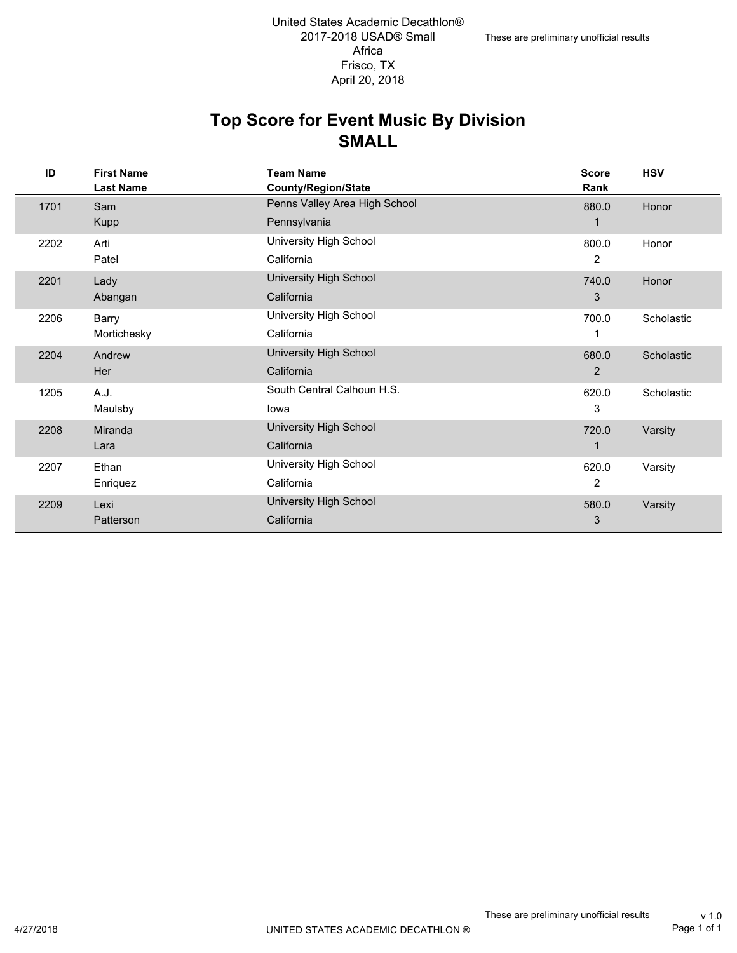#### **SMALL Top Score for Event Music By Division**

| ID   | <b>First Name</b><br><b>Last Name</b> | <b>Team Name</b><br>County/Region/State | <b>Score</b><br>Rank | <b>HSV</b> |
|------|---------------------------------------|-----------------------------------------|----------------------|------------|
| 1701 | Sam                                   | Penns Valley Area High School           | 880.0                | Honor      |
|      | <b>Kupp</b>                           | Pennsylvania                            |                      |            |
| 2202 | Arti                                  | University High School                  | 800.0                | Honor      |
|      | Patel                                 | California                              | 2                    |            |
| 2201 | Lady                                  | University High School                  | 740.0                | Honor      |
|      | Abangan                               | California                              | 3                    |            |
| 2206 | Barry                                 | University High School                  | 700.0                | Scholastic |
|      | Mortichesky                           | California                              | 1                    |            |
| 2204 | Andrew                                | <b>University High School</b>           | 680.0                | Scholastic |
|      | Her                                   | California                              | 2                    |            |
| 1205 | A.J.                                  | South Central Calhoun H.S.              | 620.0                | Scholastic |
|      | Maulsby                               | lowa                                    | 3                    |            |
| 2208 | Miranda                               | <b>University High School</b>           | 720.0                | Varsity    |
|      | Lara                                  | California                              | 1                    |            |
| 2207 | Ethan                                 | University High School                  | 620.0                | Varsity    |
|      | Enriquez                              | California                              | 2                    |            |
| 2209 | Lexi                                  | <b>University High School</b>           | 580.0                | Varsity    |
|      | Patterson                             | California                              | 3                    |            |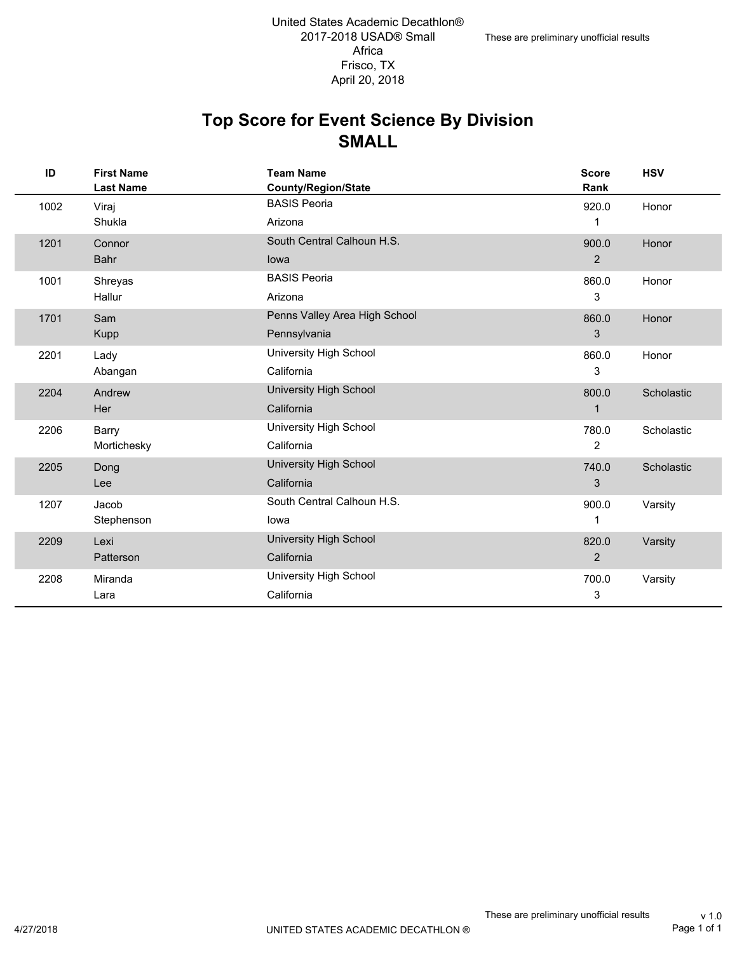#### **SMALL Top Score for Event Science By Division**

| ID   | <b>First Name</b><br><b>Last Name</b> | <b>Team Name</b><br><b>County/Region/State</b> | <b>Score</b><br>Rank | <b>HSV</b> |
|------|---------------------------------------|------------------------------------------------|----------------------|------------|
| 1002 | Viraj                                 | <b>BASIS Peoria</b>                            | 920.0                | Honor      |
|      | Shukla                                | Arizona                                        | 1                    |            |
| 1201 | Connor                                | South Central Calhoun H.S.                     | 900.0                | Honor      |
|      | <b>Bahr</b>                           | lowa                                           | $\overline{2}$       |            |
| 1001 | Shreyas                               | <b>BASIS Peoria</b>                            | 860.0                | Honor      |
|      | Hallur                                | Arizona                                        | 3                    |            |
| 1701 | Sam                                   | Penns Valley Area High School                  | 860.0                | Honor      |
|      | <b>Kupp</b>                           | Pennsylvania                                   | 3                    |            |
| 2201 | Lady                                  | University High School                         | 860.0                | Honor      |
|      | Abangan                               | California                                     | 3                    |            |
| 2204 | Andrew                                | <b>University High School</b>                  | 800.0                | Scholastic |
|      | Her                                   | California                                     | $\mathbf 1$          |            |
| 2206 | Barry                                 | University High School                         | 780.0                | Scholastic |
|      | Mortichesky                           | California                                     | $\overline{2}$       |            |
| 2205 | Dong                                  | <b>University High School</b>                  | 740.0                | Scholastic |
|      | Lee                                   | California                                     | 3                    |            |
| 1207 | Jacob                                 | South Central Calhoun H.S.                     | 900.0                | Varsity    |
|      | Stephenson                            | lowa                                           | 1                    |            |
| 2209 | Lexi                                  | <b>University High School</b>                  | 820.0                | Varsity    |
|      | <b>Patterson</b>                      | California                                     | $\overline{2}$       |            |
| 2208 | Miranda                               | University High School                         | 700.0                | Varsity    |
|      | Lara                                  | California                                     | 3                    |            |